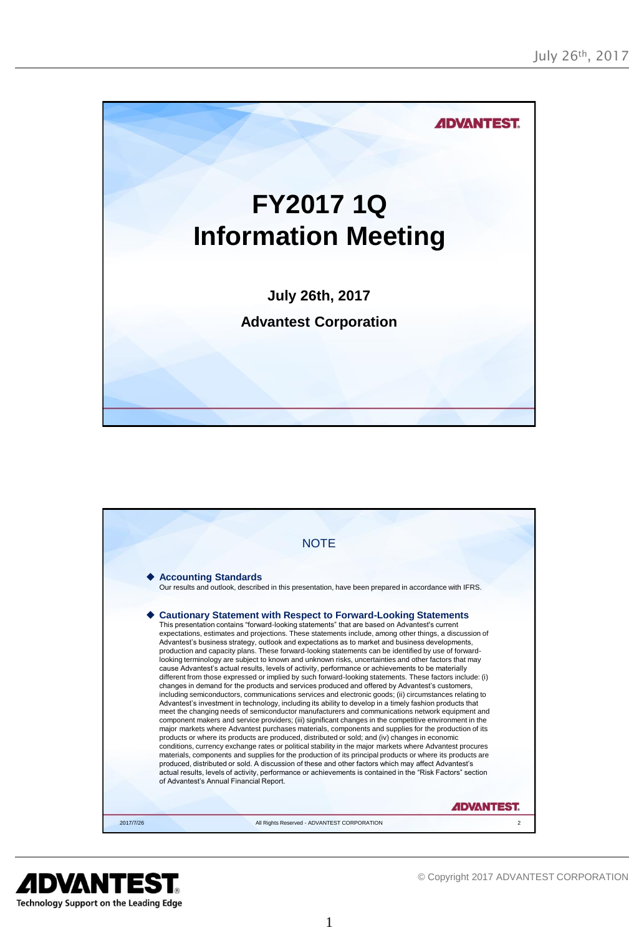





1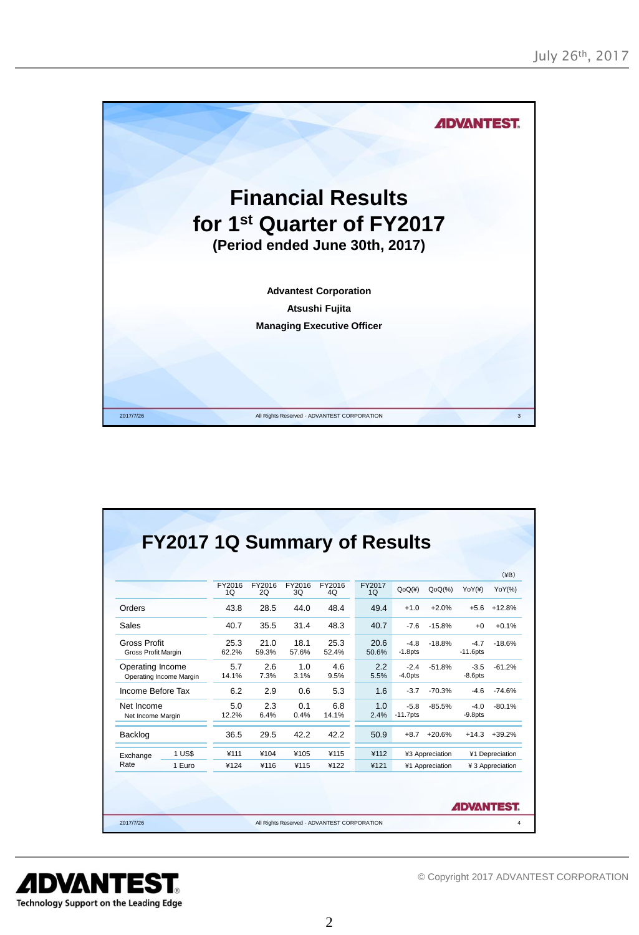

|                                             |        |                          |               |               |               |                          |                       |           |                       | $(\yen B)$     |
|---------------------------------------------|--------|--------------------------|---------------|---------------|---------------|--------------------------|-----------------------|-----------|-----------------------|----------------|
|                                             |        | FY2016<br>1 <sub>O</sub> | FY2016<br>2O  | FY2016<br>30  | FY2016<br>40  | FY2017<br>1 <sub>O</sub> | QoQ(4)                | $QoQ(\%)$ | YoY(¥)                | YoY(%)         |
| Orders                                      |        | 43.8                     | 28.5          | 44.0          | 48.4          | 49.4                     | $+1.0$                | $+2.0%$   | $+5.6$                | $+12.8%$       |
| Sales                                       |        | 40.7                     | 35.5          | 31.4          | 48.3          | 40.7                     | $-7.6$                | $-15.8%$  | $+0$                  | $+0.1%$        |
| <b>Gross Profit</b><br>Gross Profit Margin  |        | 25.3<br>62.2%            | 21.0<br>59.3% | 18.1<br>57.6% | 25.3<br>52.4% | 20.6<br>50.6%            | $-4.8$<br>$-1.8$ pts  | $-18.8%$  | $-4.7$<br>$-11.6$ pts | $-18.6%$       |
| Operating Income<br>Operating Income Margin |        | 5.7<br>14.1%             | 2.6<br>7.3%   | 1.0<br>3.1%   | 4.6<br>9.5%   | 2.2<br>5.5%              | $-2.4$<br>$-4.0$ pts  | $-51.8%$  | $-3.5$<br>$-8.6$ pts  | $-61.2%$       |
| Income Before Tax                           |        | 6.2                      | 2.9           | 0.6           | 5.3           | 1.6                      | $-3.7$                | $-70.3%$  | $-4.6$                | $-74.6%$       |
| Net Income<br>Net Income Margin             |        | 5.0<br>12.2%             | 2.3<br>6.4%   | 0.1<br>0.4%   | 6.8<br>14.1%  | 1.0<br>2.4%              | $-5.8$<br>$-11.7$ pts | $-85.5%$  | $-4.0$<br>$-9.8pts$   | $-80.1%$       |
| Backlog                                     |        | 36.5                     | 29.5          | 42.2          | 422           | 50.9                     | $+8.7$                | $+20.6%$  |                       | $+14.3 +39.2%$ |
| Exchange<br>Rate                            | 1 US\$ | ¥111                     | ¥104          | ¥105          | ¥115          | ¥112                     | ¥3 Appreciation       |           | ¥1 Depreciation       |                |
|                                             | 1 Euro | ¥124                     | ¥116          | ¥115          | ¥122          | ¥121                     | ¥1 Appreciation       |           | ¥ 3 Appreciation      |                |

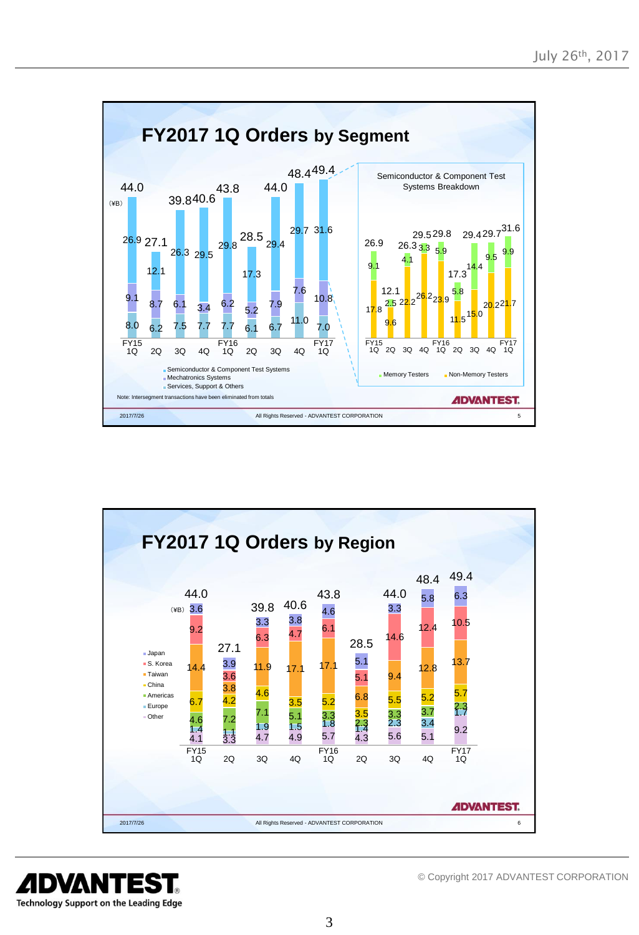



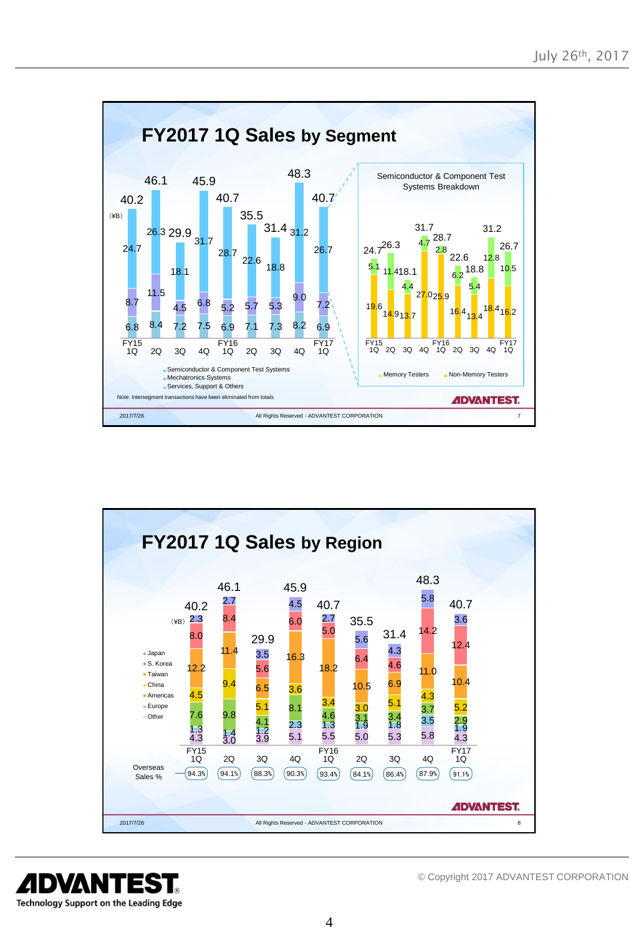



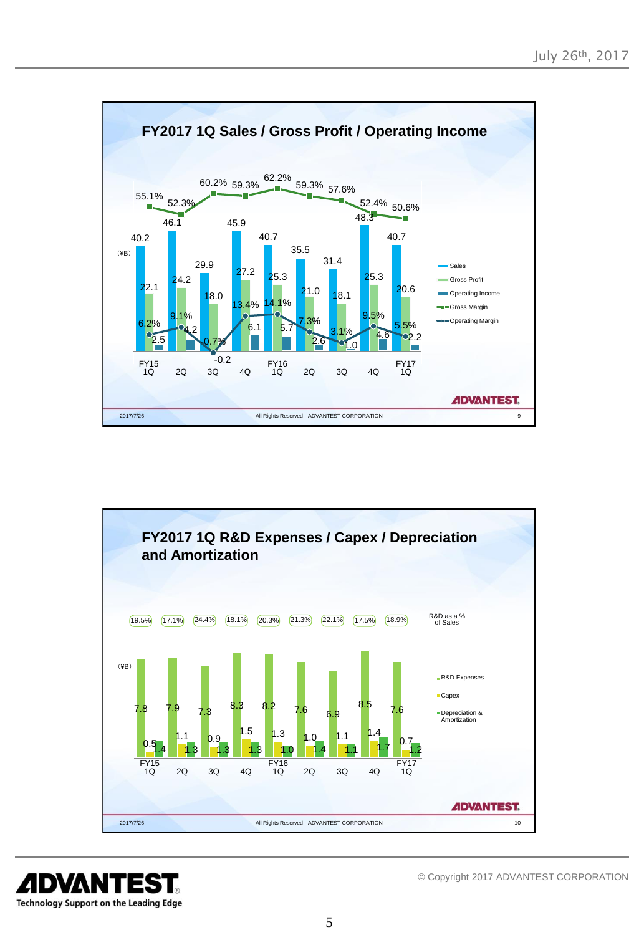



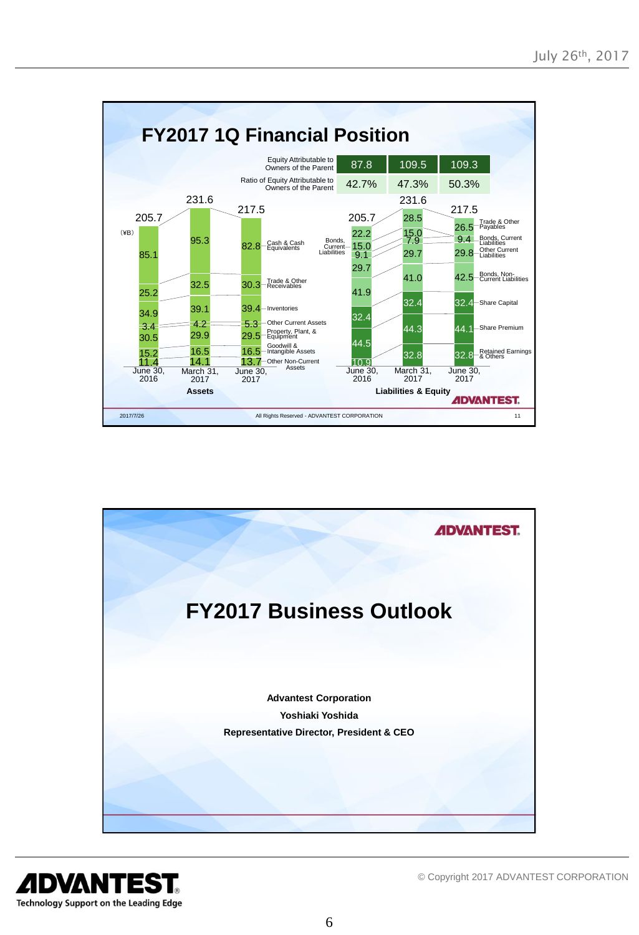



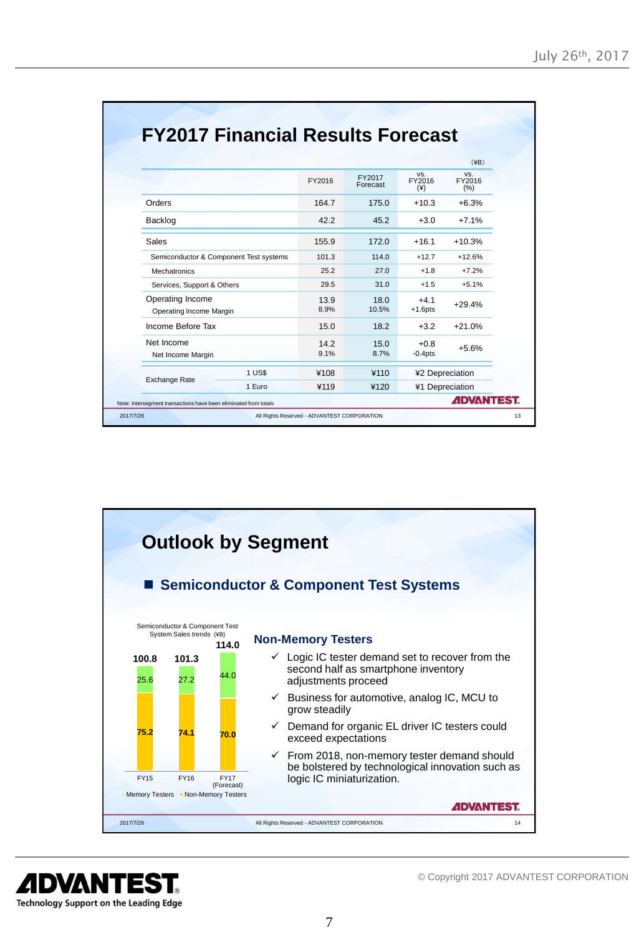|                                             |        |              |                    | $(\yen B)$             |                       |  |  |
|---------------------------------------------|--------|--------------|--------------------|------------------------|-----------------------|--|--|
|                                             |        | FY2016       | FY2017<br>Forecast | VS.<br>FY2016<br>$(*)$ | VS.<br>FY2016<br>(% ) |  |  |
| Orders                                      |        | 1647         | 175.0              | $+10.3$                | $+6.3%$               |  |  |
| Backlog                                     |        | 42.2         | 45.2               | $+3.0$                 | $+7.1%$               |  |  |
| Sales                                       |        | 155.9        | 172.0              | $+16.1$                | $+10.3%$              |  |  |
| Semiconductor & Component Test systems      |        | 101.3        | 114.0              | $+12.7$                | $+12.6%$              |  |  |
| Mechatronics                                |        | 25.2         | 27.0               | $+1.8$                 | $+7.2%$               |  |  |
| Services, Support & Others                  |        | 29.5         | 31.0               | $+1.5$                 | $+5.1%$               |  |  |
| Operating Income<br>Operating Income Margin |        | 13.9<br>8.9% | 18.0<br>10.5%      | $+41$<br>$+1.6$ pts    | $+29.4%$              |  |  |
| Income Before Tax                           |        | 15.0         | 18.2               | $+3.2$                 | $+21.0%$              |  |  |
| Net Income<br>Net Income Margin             |        | 14.2<br>9.1% | 15.0<br>8.7%       | $+0.8$<br>$-0.4$ pts   | $+5.6%$               |  |  |
|                                             | 1 US\$ | ¥108         | ¥110               | ¥2 Depreciation        |                       |  |  |
| Exchange Rate                               | 1 Euro | ¥119         | ¥120               |                        | ¥1 Depreciation       |  |  |